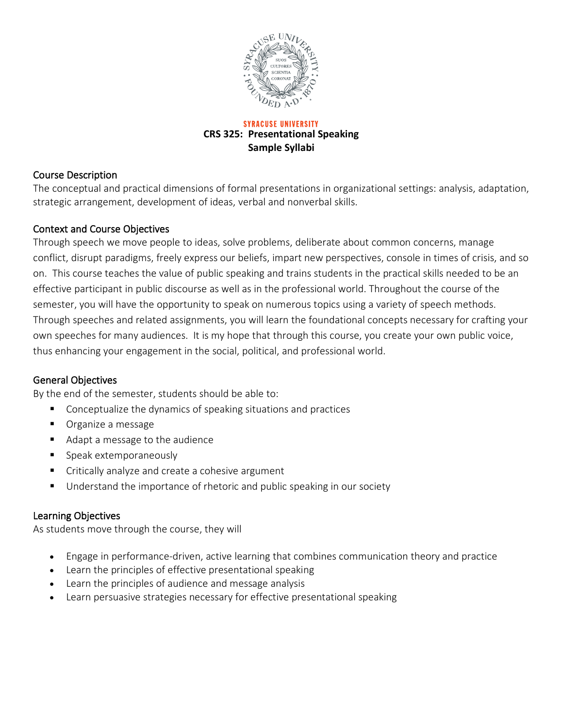

**SYRACUSE UNIVERSITY CRS 325: Presentational Speaking Sample Syllabi**

### Course Description

The conceptual and practical dimensions of formal presentations in organizational settings: analysis, adaptation, strategic arrangement, development of ideas, verbal and nonverbal skills.

#### Context and Course Objectives

Through speech we move people to ideas, solve problems, deliberate about common concerns, manage conflict, disrupt paradigms, freely express our beliefs, impart new perspectives, console in times of crisis, and so on. This course teaches the value of public speaking and trains students in the practical skills needed to be an effective participant in public discourse as well as in the professional world. Throughout the course of the semester, you will have the opportunity to speak on numerous topics using a variety of speech methods. Through speeches and related assignments, you will learn the foundational concepts necessary for crafting your own speeches for many audiences. It is my hope that through this course, you create your own public voice, thus enhancing your engagement in the social, political, and professional world.

#### General Objectives

By the end of the semester, students should be able to:

- Conceptualize the dynamics of speaking situations and practices
- **•** Organize a message
- Adapt a message to the audience
- **Speak extemporaneously**
- Critically analyze and create a cohesive argument
- Understand the importance of rhetoric and public speaking in our society

#### Learning Objectives

As students move through the course, they will

- Engage in performance-driven, active learning that combines communication theory and practice
- Learn the principles of effective presentational speaking
- Learn the principles of audience and message analysis
- Learn persuasive strategies necessary for effective presentational speaking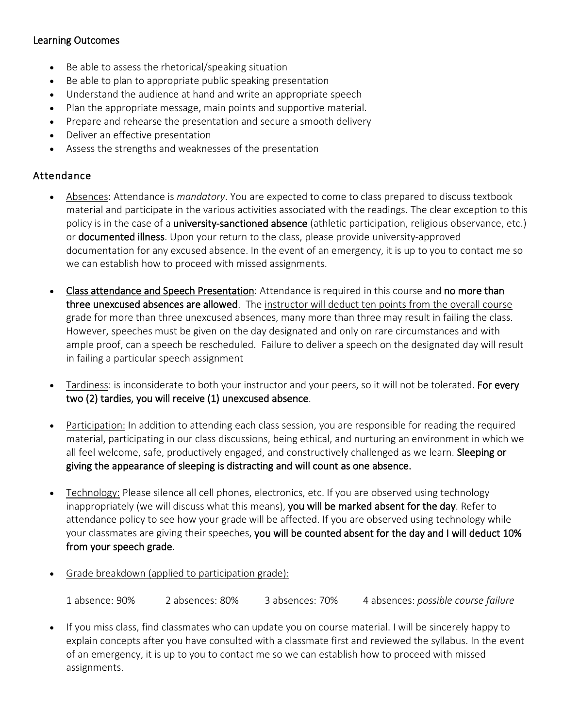### Learning Outcomes

- Be able to assess the rhetorical/speaking situation
- Be able to plan to appropriate public speaking presentation
- Understand the audience at hand and write an appropriate speech
- Plan the appropriate message, main points and supportive material.
- Prepare and rehearse the presentation and secure a smooth delivery
- Deliver an effective presentation
- Assess the strengths and weaknesses of the presentation

#### Attendance

- Absences: Attendance is *mandatory*. You are expected to come to class prepared to discuss textbook material and participate in the various activities associated with the readings. The clear exception to this policy is in the case of a **university-sanctioned absence** (athletic participation, religious observance, etc.) or documented illness. Upon your return to the class, please provide university-approved documentation for any excused absence. In the event of an emergency, it is up to you to contact me so we can establish how to proceed with missed assignments.
- Class attendance and Speech Presentation: Attendance is required in this course and no more than three unexcused absences are allowed. The instructor will deduct ten points from the overall course grade for more than three unexcused absences, many more than three may result in failing the class. However, speeches must be given on the day designated and only on rare circumstances and with ample proof, can a speech be rescheduled. Failure to deliver a speech on the designated day will result in failing a particular speech assignment
- Tardiness: is inconsiderate to both your instructor and your peers, so it will not be tolerated. For every two (2) tardies, you will receive (1) unexcused absence.
- Participation: In addition to attending each class session, you are responsible for reading the required material, participating in our class discussions, being ethical, and nurturing an environment in which we all feel welcome, safe, productively engaged, and constructively challenged as we learn. Sleeping or giving the appearance of sleeping is distracting and will count as one absence.
- Technology: Please silence all cell phones, electronics, etc. If you are observed using technology inappropriately (we will discuss what this means), you will be marked absent for the day. Refer to attendance policy to see how your grade will be affected. If you are observed using technology while your classmates are giving their speeches, you will be counted absent for the day and I will deduct 10% from your speech grade.
- Grade breakdown (applied to participation grade):

1 absence: 90% 2 absences: 80% 3 absences: 70% 4 absences: *possible course failure*

• If you miss class, find classmates who can update you on course material. I will be sincerely happy to explain concepts after you have consulted with a classmate first and reviewed the syllabus. In the event of an emergency, it is up to you to contact me so we can establish how to proceed with missed assignments.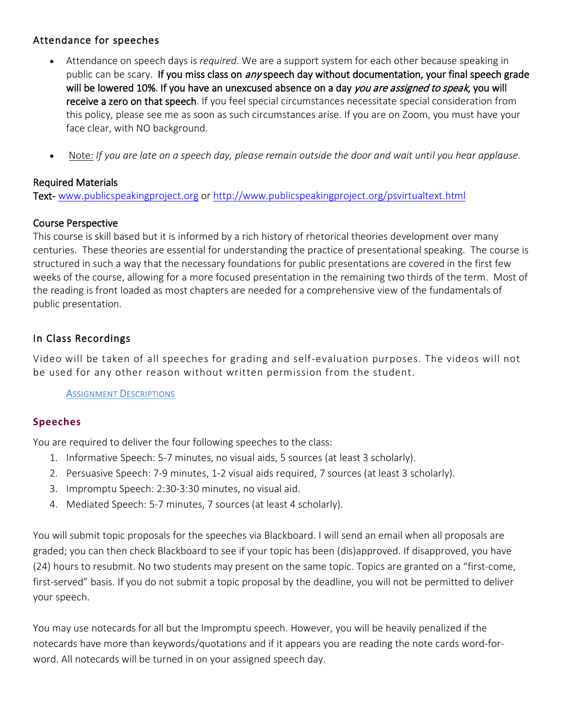## Attendance for speeches

- Attendance on speech days is *required*. We are a support system for each other because speaking in public can be scary. If you miss class on any speech day without documentation, your final speech grade will be lowered 10%. If you have an unexcused absence on a day you are assigned to speak, you will receive a zero on that speech. If you feel special circumstances necessitate special consideration from this policy, please see me as soon as such circumstances arise. If you are on Zoom, you must have your face clear, with NO background.
- Note: *If you are late on a speech day, please remain outside the door and wait until you hear applause.*

### Required Materials

Text- [www.publicspeakingproject.org](http://www.publicspeakingproject.org/) o[r http://www.publicspeakingproject.org/psvirtualtext.html](http://www.publicspeakingproject.org/psvirtualtext.html)

## Course Perspective

This course is skill based but it is informed by a rich history of rhetorical theories development over many centuries. These theories are essential for understanding the practice of presentational speaking. The course is structured in such a way that the necessary foundations for public presentations are covered in the first few weeks of the course, allowing for a more focused presentation in the remaining two thirds of the term. Most of the reading is front loaded as most chapters are needed for a comprehensive view of the fundamentals of public presentation.

## In Class Recordings

Video will be taken of all speeches for grading and self-evaluation purposes. The videos will not be used for any other reason without written permission from the student.

ASSIGNMENT DESCRIPTIONS

#### **Speeches**

You are required to deliver the four following speeches to the class:

- 1. Informative Speech: 5-7 minutes, no visual aids, 5 sources (at least 3 scholarly).
- 2. Persuasive Speech: 7-9 minutes, 1-2 visual aids required, 7 sources (at least 3 scholarly).
- 3. Impromptu Speech: 2:30-3:30 minutes, no visual aid.
- 4. Mediated Speech: 5-7 minutes, 7 sources (at least 4 scholarly).

You will submit topic proposals for the speeches via Blackboard. I will send an email when all proposals are graded; you can then check Blackboard to see if your topic has been (dis)approved. If disapproved, you have (24) hours to resubmit. No two students may present on the same topic. Topics are granted on a "first-come, first-served" basis. If you do not submit a topic proposal by the deadline, you will not be permitted to deliver your speech.

You may use notecards for all but the Impromptu speech. However, you will be heavily penalized if the notecards have more than keywords/quotations and if it appears you are reading the note cards word-forword. All notecards will be turned in on your assigned speech day.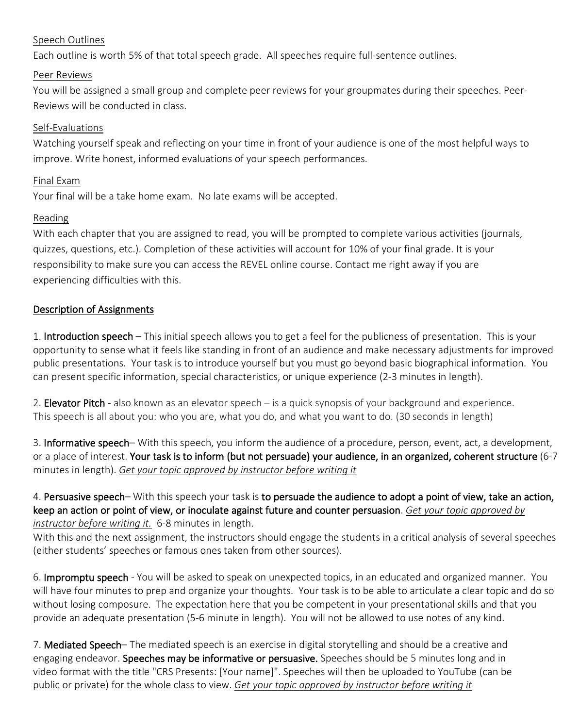#### Speech Outlines

Each outline is worth 5% of that total speech grade. All speeches require full-sentence outlines.

#### Peer Reviews

You will be assigned a small group and complete peer reviews for your groupmates during their speeches. Peer-Reviews will be conducted in class.

#### Self-Evaluations

Watching yourself speak and reflecting on your time in front of your audience is one of the most helpful ways to improve. Write honest, informed evaluations of your speech performances.

#### Final Exam

Your final will be a take home exam. No late exams will be accepted.

#### Reading

With each chapter that you are assigned to read, you will be prompted to complete various activities (journals, quizzes, questions, etc.). Completion of these activities will account for 10% of your final grade. It is your responsibility to make sure you can access the REVEL online course. Contact me right away if you are experiencing difficulties with this.

#### Description of Assignments

1. Introduction speech – This initial speech allows you to get a feel for the publicness of presentation. This is your opportunity to sense what it feels like standing in front of an audience and make necessary adjustments for improved public presentations. Your task is to introduce yourself but you must go beyond basic biographical information. You can present specific information, special characteristics, or unique experience (2-3 minutes in length).

2. **Elevator Pitch** - also known as an elevator speech – is a quick synopsis of your background and experience. This speech is all about you: who you are, what you do, and what you want to do. (30 seconds in length)

3. Informative speech– With this speech, you inform the audience of a procedure, person, event, act, a development, or a place of interest. Your task is to inform (but not persuade) your audience, in an organized, coherent structure (6-7 minutes in length). *Get your topic approved by instructor before writing it*

4. Persuasive speech– With this speech your task is to persuade the audience to adopt a point of view, take an action, keep an action or point of view, or inoculate against future and counter persuasion. *Get your topic approved by instructor before writing it.* 6-8 minutes in length.

With this and the next assignment, the instructors should engage the students in a critical analysis of several speeches (either students' speeches or famous ones taken from other sources).

6. Impromptu speech - You will be asked to speak on unexpected topics, in an educated and organized manner. You will have four minutes to prep and organize your thoughts. Your task is to be able to articulate a clear topic and do so without losing composure. The expectation here that you be competent in your presentational skills and that you provide an adequate presentation (5-6 minute in length). You will not be allowed to use notes of any kind.

7. Mediated Speech– The mediated speech is an exercise in digital storytelling and should be a creative and engaging endeavor. Speeches may be informative or persuasive. Speeches should be 5 minutes long and in video format with the title "CRS Presents: [Your name]". Speeches will then be uploaded to YouTube (can be public or private) for the whole class to view. *Get your topic approved by instructor before writing it*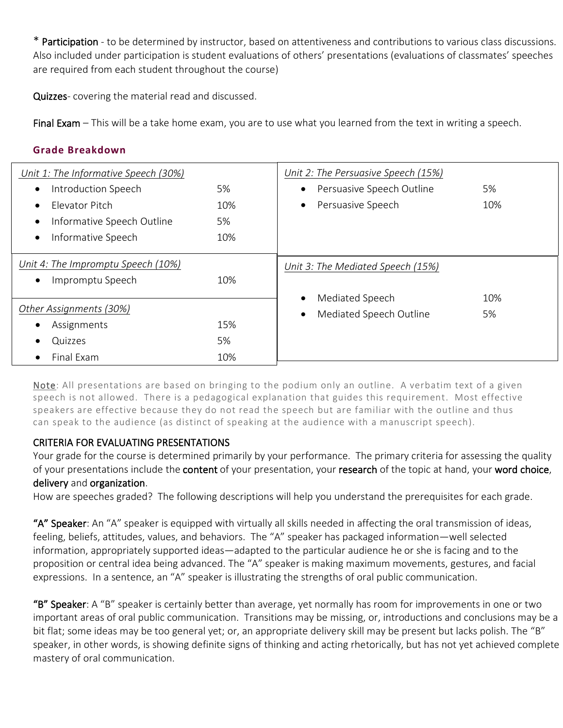\* Participation - to be determined by instructor, based on attentiveness and contributions to various class discussions. Also included under participation is student evaluations of others' presentations (evaluations of classmates' speeches are required from each student throughout the course)

Quizzes- covering the material read and discussed.

Final Exam – This will be a take home exam, you are to use what you learned from the text in writing a speech.

#### **Grade Breakdown**

| Unit 1: The Informative Speech (30%) |     | Unit 2: The Persuasive Speech (15%)    |     |
|--------------------------------------|-----|----------------------------------------|-----|
| Introduction Speech                  | 5%  | Persuasive Speech Outline<br>$\bullet$ | 5%  |
| Flevator Pitch                       | 10% | Persuasive Speech<br>$\bullet$         | 10% |
| Informative Speech Outline           | 5%  |                                        |     |
| Informative Speech                   | 10% |                                        |     |
| Unit 4: The Impromptu Speech (10%)   |     | Unit 3: The Mediated Speech (15%)      |     |
| Impromptu Speech                     | 10% |                                        |     |
|                                      |     | Mediated Speech<br>$\bullet$           | 10% |
| Other Assignments (30%)              |     | Mediated Speech Outline<br>$\bullet$   | 5%  |
| Assignments                          | 15% |                                        |     |
| Quizzes                              | 5%  |                                        |     |
| Final Exam                           | 10% |                                        |     |

Note: All presentations are based on bringing to the podium only an outline. A verbatim text of a given speech is not allowed. There is a pedagogical explanation that guides this requirement. Most effective speakers are effective because they do not read the speech but are familiar with the outline and thus can speak to the audience (as distinct of speaking at the audience with a manuscript speech).

#### CRITERIA FOR EVALUATING PRESENTATIONS

Your grade for the course is determined primarily by your performance. The primary criteria for assessing the quality of your presentations include the content of your presentation, your research of the topic at hand, your word choice, delivery and organization.

How are speeches graded? The following descriptions will help you understand the prerequisites for each grade.

"A" Speaker: An "A" speaker is equipped with virtually all skills needed in affecting the oral transmission of ideas, feeling, beliefs, attitudes, values, and behaviors. The "A" speaker has packaged information—well selected information, appropriately supported ideas—adapted to the particular audience he or she is facing and to the proposition or central idea being advanced. The "A" speaker is making maximum movements, gestures, and facial expressions. In a sentence, an "A" speaker is illustrating the strengths of oral public communication.

"B" Speaker: A "B" speaker is certainly better than average, yet normally has room for improvements in one or two important areas of oral public communication. Transitions may be missing, or, introductions and conclusions may be a bit flat; some ideas may be too general yet; or, an appropriate delivery skill may be present but lacks polish. The "B" speaker, in other words, is showing definite signs of thinking and acting rhetorically, but has not yet achieved complete mastery of oral communication.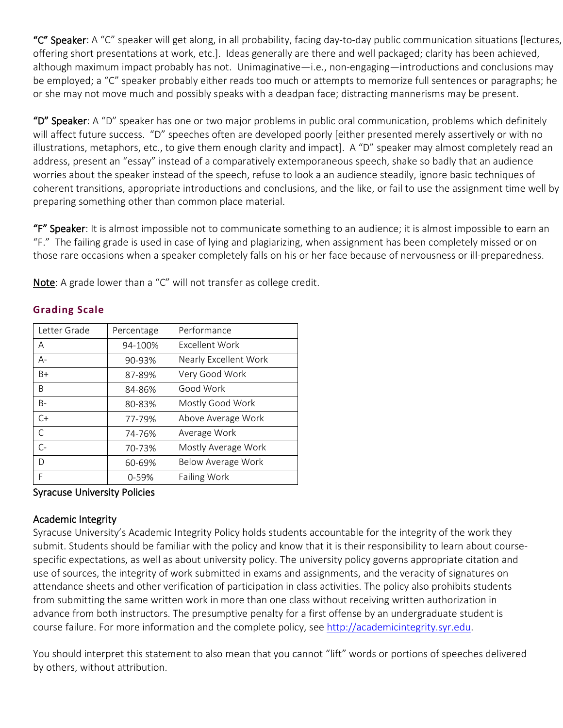"C" Speaker: A "C" speaker will get along, in all probability, facing day-to-day public communication situations [lectures, offering short presentations at work, etc.]. Ideas generally are there and well packaged; clarity has been achieved, although maximum impact probably has not. Unimaginative—i.e., non-engaging—introductions and conclusions may be employed; a "C" speaker probably either reads too much or attempts to memorize full sentences or paragraphs; he or she may not move much and possibly speaks with a deadpan face; distracting mannerisms may be present.

"D" Speaker: A "D" speaker has one or two major problems in public oral communication, problems which definitely will affect future success. "D" speeches often are developed poorly [either presented merely assertively or with no illustrations, metaphors, etc., to give them enough clarity and impact]. A "D" speaker may almost completely read an address, present an "essay" instead of a comparatively extemporaneous speech, shake so badly that an audience worries about the speaker instead of the speech, refuse to look a an audience steadily, ignore basic techniques of coherent transitions, appropriate introductions and conclusions, and the like, or fail to use the assignment time well by preparing something other than common place material.

"F" Speaker: It is almost impossible not to communicate something to an audience; it is almost impossible to earn an "F." The failing grade is used in case of lying and plagiarizing, when assignment has been completely missed or on those rare occasions when a speaker completely falls on his or her face because of nervousness or ill-preparedness.

Note: A grade lower than a "C" will not transfer as college credit.

| Letter Grade | Percentage | Performance           |  |
|--------------|------------|-----------------------|--|
| A            | 94-100%    | Excellent Work        |  |
| $A -$        | 90-93%     | Nearly Excellent Work |  |
| $B+$         | 87-89%     | Very Good Work        |  |
| <sub>B</sub> | 84-86%     | Good Work             |  |
| $B -$        | 80-83%     | Mostly Good Work      |  |
| $C+$         | 77-79%     | Above Average Work    |  |
| $\subset$    | 74-76%     | Average Work          |  |
| $\mathsf{C}$ | 70-73%     | Mostly Average Work   |  |
| D            | 60-69%     | Below Average Work    |  |
| F            | $0 - 59%$  | <b>Failing Work</b>   |  |

# **Grading Scale**

#### Syracuse University Policies

#### Academic Integrity

Syracuse University's Academic Integrity Policy holds students accountable for the integrity of the work they submit. Students should be familiar with the policy and know that it is their responsibility to learn about coursespecific expectations, as well as about university policy. The university policy governs appropriate citation and use of sources, the integrity of work submitted in exams and assignments, and the veracity of signatures on attendance sheets and other verification of participation in class activities. The policy also prohibits students from submitting the same written work in more than one class without receiving written authorization in advance from both instructors. The presumptive penalty for a first offense by an undergraduate student is course failure. For more information and the complete policy, see [http://academicintegrity.syr.edu.](http://academicintegrity.syr.edu/)

You should interpret this statement to also mean that you cannot "lift" words or portions of speeches delivered by others, without attribution.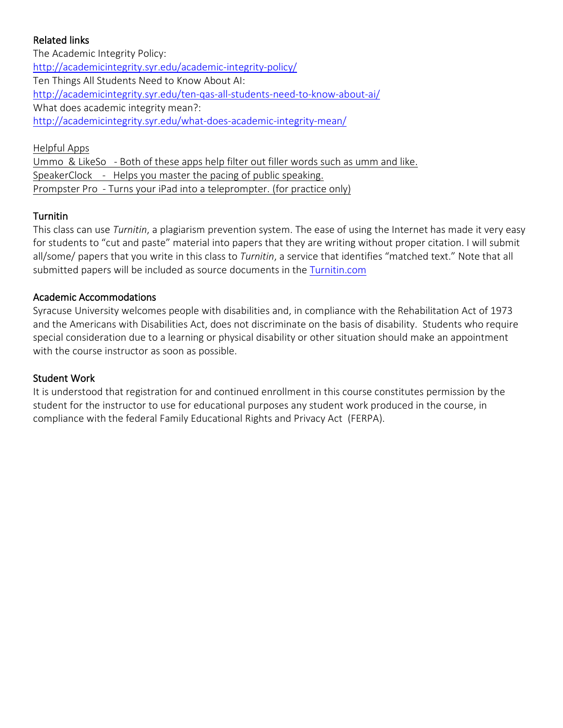# Related links

The Academic Integrity Policy: <http://academicintegrity.syr.edu/academic-integrity-policy/> Ten Things All Students Need to Know About AI: <http://academicintegrity.syr.edu/ten-qas-all-students-need-to-know-about-ai/> What does academic integrity mean?: <http://academicintegrity.syr.edu/what-does-academic-integrity-mean/>

Helpful Apps Ummo & LikeSo - Both of these apps help filter out filler words such as umm and like. SpeakerClock - Helps you master the pacing of public speaking. Prompster Pro - Turns your iPad into a teleprompter. (for practice only)

# Turnitin

This class can use *Turnitin*, a plagiarism prevention system. The ease of using the Internet has made it very easy for students to "cut and paste" material into papers that they are writing without proper citation. I will submit all/some/ papers that you write in this class to *Turnitin*, a service that identifies "matched text." Note that all submitted papers will be included as source documents in the [Turnitin.com](http://turnitin.com/)

## Academic Accommodations

Syracuse University welcomes people with disabilities and, in compliance with the Rehabilitation Act of 1973 and the Americans with Disabilities Act, does not discriminate on the basis of disability. Students who require special consideration due to a learning or physical disability or other situation should make an appointment with the course instructor as soon as possible.

#### Student Work

It is understood that registration for and continued enrollment in this course constitutes permission by the student for the instructor to use for educational purposes any student work produced in the course, in compliance with the federal Family Educational Rights and Privacy Act (FERPA).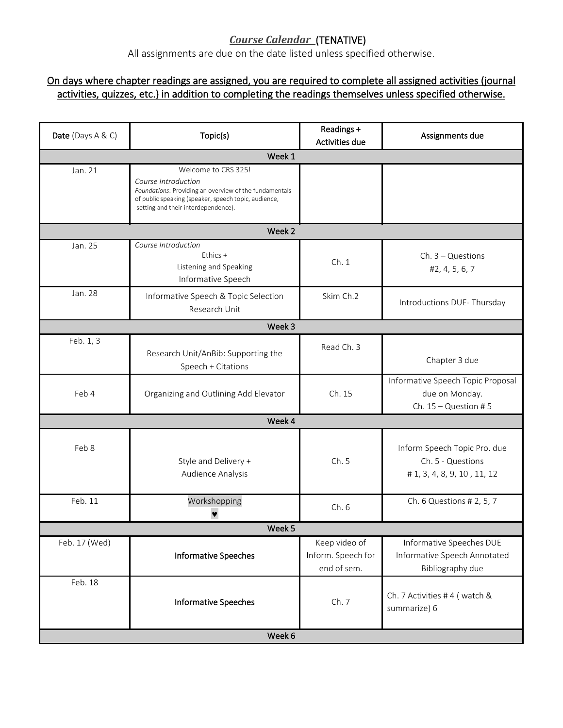# *Course Calendar* (TENATIVE)

All assignments are due on the date listed unless specified otherwise.

# On days where chapter readings are assigned, you are required to complete all assigned activities (journal activities, quizzes, etc.) in addition to completing the readings themselves unless specified otherwise.

| Date (Days A & C) | Topic(s)                                                                                                                                                                                            | Readings +<br>Activities due                       | Assignments due                                                                  |  |
|-------------------|-----------------------------------------------------------------------------------------------------------------------------------------------------------------------------------------------------|----------------------------------------------------|----------------------------------------------------------------------------------|--|
|                   | Week 1                                                                                                                                                                                              |                                                    |                                                                                  |  |
| Jan. 21           | Welcome to CRS 325!<br>Course Introduction<br>Foundations: Providing an overview of the fundamentals<br>of public speaking (speaker, speech topic, audience,<br>setting and their interdependence). |                                                    |                                                                                  |  |
|                   | Week 2                                                                                                                                                                                              |                                                    |                                                                                  |  |
| Jan. 25           | Course Introduction<br>Ethics +<br>Listening and Speaking<br>Informative Speech                                                                                                                     | Ch.1                                               | $Ch. 3 - Questions$<br>#2, 4, 5, 6, 7                                            |  |
| Jan. 28           | Informative Speech & Topic Selection<br>Research Unit                                                                                                                                               | Skim Ch.2                                          | Introductions DUE-Thursday                                                       |  |
|                   | Week 3                                                                                                                                                                                              |                                                    |                                                                                  |  |
| Feb. 1, 3         | Research Unit/AnBib: Supporting the<br>Speech + Citations                                                                                                                                           | Read Ch. 3                                         | Chapter 3 due                                                                    |  |
| Feb 4             | Organizing and Outlining Add Elevator                                                                                                                                                               | Ch. 15                                             | Informative Speech Topic Proposal<br>due on Monday.<br>Ch. $15 -$ Question #5    |  |
|                   | Week 4                                                                                                                                                                                              |                                                    |                                                                                  |  |
| Feb 8             | Style and Delivery +<br>Audience Analysis                                                                                                                                                           | Ch.5                                               | Inform Speech Topic Pro. due<br>Ch. 5 - Questions<br># 1, 3, 4, 8, 9, 10, 11, 12 |  |
| Feb. 11           | Workshopping                                                                                                                                                                                        | Ch.6                                               | Ch. 6 Questions # 2, 5, 7                                                        |  |
| Week 5            |                                                                                                                                                                                                     |                                                    |                                                                                  |  |
| Feb. 17 (Wed)     | <b>Informative Speeches</b>                                                                                                                                                                         | Keep video of<br>Inform. Speech for<br>end of sem. | Informative Speeches DUE<br>Informative Speech Annotated<br>Bibliography due     |  |
| Feb. 18           | <b>Informative Speeches</b>                                                                                                                                                                         | Ch. 7                                              | Ch. 7 Activities #4 (watch &<br>summarize) 6                                     |  |
| Week 6            |                                                                                                                                                                                                     |                                                    |                                                                                  |  |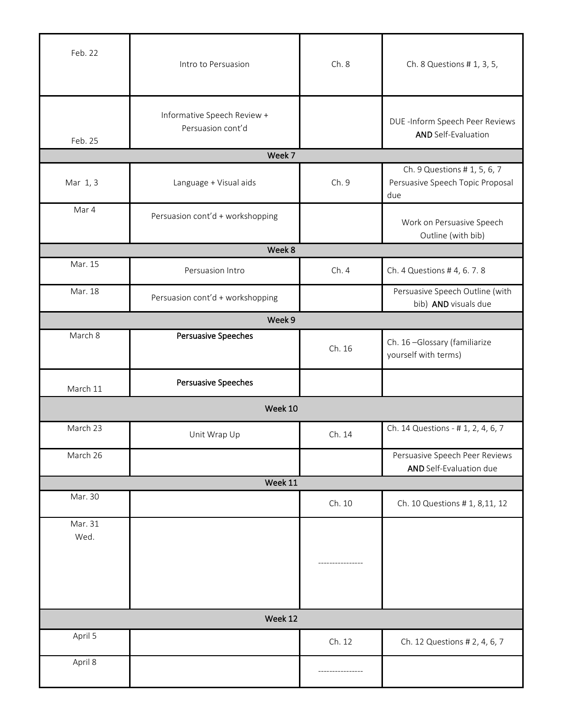| Feb. 22         | Intro to Persuasion                              | Ch.8   | Ch. 8 Questions # 1, 3, 5,                                              |
|-----------------|--------------------------------------------------|--------|-------------------------------------------------------------------------|
| Feb. 25         | Informative Speech Review +<br>Persuasion cont'd |        | DUE -Inform Speech Peer Reviews<br><b>AND Self-Evaluation</b>           |
|                 | Week 7                                           |        |                                                                         |
| Mar 1, 3        | Language + Visual aids                           | Ch. 9  | Ch. 9 Questions # 1, 5, 6, 7<br>Persuasive Speech Topic Proposal<br>due |
| Mar 4           | Persuasion cont'd + workshopping                 |        | Work on Persuasive Speech<br>Outline (with bib)                         |
|                 | Week 8                                           |        |                                                                         |
| Mar. 15         | Persuasion Intro                                 | Ch.4   | Ch. 4 Questions # 4, 6. 7. 8                                            |
| Mar. 18         | Persuasion cont'd + workshopping                 |        | Persuasive Speech Outline (with<br>bib) AND visuals due                 |
|                 | Week 9                                           |        |                                                                         |
| March 8         | Persuasive Speeches                              | Ch. 16 | Ch. 16-Glossary (familiarize<br>yourself with terms)                    |
| March 11        | Persuasive Speeches                              |        |                                                                         |
|                 | Week 10                                          |        |                                                                         |
| March 23        | Unit Wrap Up                                     | Ch. 14 | Ch. 14 Questions - # 1, 2, 4, 6, 7                                      |
| March 26        |                                                  |        | Persuasive Speech Peer Reviews<br>AND Self-Evaluation due               |
|                 | Week 11                                          |        |                                                                         |
| Mar. 30         |                                                  | Ch. 10 | Ch. 10 Questions # 1, 8, 11, 12                                         |
| Mar. 31<br>Wed. |                                                  |        |                                                                         |
|                 |                                                  |        |                                                                         |
| Week 12         |                                                  |        |                                                                         |
| April 5         |                                                  | Ch. 12 | Ch. 12 Questions # 2, 4, 6, 7                                           |
| April 8         |                                                  |        |                                                                         |